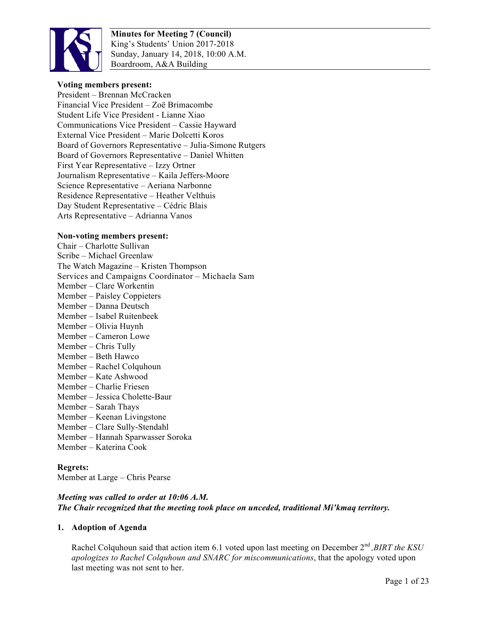

### **Voting members present:**

President – Brennan McCracken Financial Vice President – Zoë Brimacombe Student Life Vice President - Lianne Xiao Communications Vice President – Cassie Hayward External Vice President – Marie Dolcetti Koros Board of Governors Representative – Julia-Simone Rutgers Board of Governors Representative – Daniel Whitten First Year Representative – Izzy Ortner Journalism Representative – Kaila Jeffers-Moore Science Representative – Aeriana Narbonne Residence Representative – Heather Velthuis Day Student Representative – Cédric Blais Arts Representative – Adrianna Vanos

#### **Non-voting members present:**

Chair – Charlotte Sullivan Scribe – Michael Greenlaw The Watch Magazine – Kristen Thompson Services and Campaigns Coordinator – Michaela Sam Member – Clare Workentin Member – Paisley Coppieters Member – Danna Deutsch Member – Isabel Ruitenbeek Member – Olivia Huynh Member – Cameron Lowe Member – Chris Tully Member – Beth Hawco Member – Rachel Colquhoun Member – Kate Ashwood Member – Charlie Friesen Member – Jessica Cholette-Baur Member – Sarah Thays Member – Keenan Livingstone Member – Clare Sully-Stendahl Member – Hannah Sparwasser Soroka Member – Katerina Cook

### **Regrets:**

Member at Large – Chris Pearse

## *Meeting was called to order at 10:06 A.M. The Chair recognized that the meeting took place on unceded, traditional Mi'kmaq territory.*

### **1. Adoption of Agenda**

Rachel Colquhoun said that action item 6.1 voted upon last meeting on December 2<sup>nd</sup>, BIRT the KSU *apologizes to Rachel Colquhoun and SNARC for miscommunications*, that the apology voted upon last meeting was not sent to her.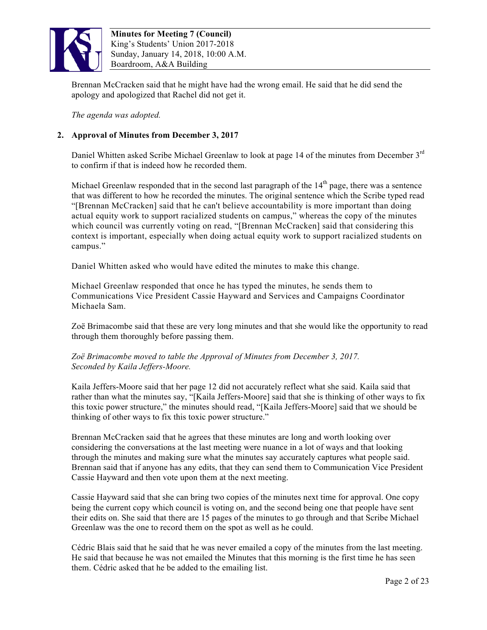

Brennan McCracken said that he might have had the wrong email. He said that he did send the apology and apologized that Rachel did not get it.

*The agenda was adopted.*

# **2. Approval of Minutes from December 3, 2017**

Daniel Whitten asked Scribe Michael Greenlaw to look at page 14 of the minutes from December  $3<sup>rd</sup>$ to confirm if that is indeed how he recorded them.

Michael Greenlaw responded that in the second last paragraph of the  $14<sup>th</sup>$  page, there was a sentence that was different to how he recorded the minutes. The original sentence which the Scribe typed read "[Brennan McCracken] said that he can't believe accountability is more important than doing actual equity work to support racialized students on campus," whereas the copy of the minutes which council was currently voting on read, "[Brennan McCracken] said that considering this context is important, especially when doing actual equity work to support racialized students on campus."

Daniel Whitten asked who would have edited the minutes to make this change.

Michael Greenlaw responded that once he has typed the minutes, he sends them to Communications Vice President Cassie Hayward and Services and Campaigns Coordinator Michaela Sam.

Zoë Brimacombe said that these are very long minutes and that she would like the opportunity to read through them thoroughly before passing them.

*Zoë Brimacombe moved to table the Approval of Minutes from December 3, 2017. Seconded by Kaila Jeffers-Moore.*

Kaila Jeffers-Moore said that her page 12 did not accurately reflect what she said. Kaila said that rather than what the minutes say, "[Kaila Jeffers-Moore] said that she is thinking of other ways to fix this toxic power structure," the minutes should read, "[Kaila Jeffers-Moore] said that we should be thinking of other ways to fix this toxic power structure."

Brennan McCracken said that he agrees that these minutes are long and worth looking over considering the conversations at the last meeting were nuance in a lot of ways and that looking through the minutes and making sure what the minutes say accurately captures what people said. Brennan said that if anyone has any edits, that they can send them to Communication Vice President Cassie Hayward and then vote upon them at the next meeting.

Cassie Hayward said that she can bring two copies of the minutes next time for approval. One copy being the current copy which council is voting on, and the second being one that people have sent their edits on. She said that there are 15 pages of the minutes to go through and that Scribe Michael Greenlaw was the one to record them on the spot as well as he could.

Cédric Blais said that he said that he was never emailed a copy of the minutes from the last meeting. He said that because he was not emailed the Minutes that this morning is the first time he has seen them. Cédric asked that he be added to the emailing list.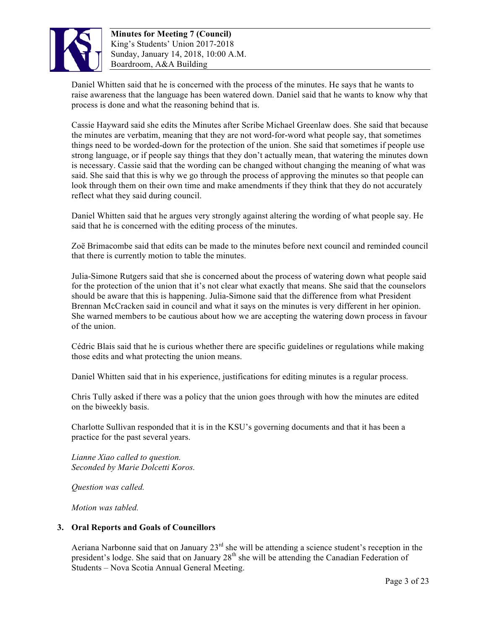

Daniel Whitten said that he is concerned with the process of the minutes. He says that he wants to raise awareness that the language has been watered down. Daniel said that he wants to know why that process is done and what the reasoning behind that is.

Cassie Hayward said she edits the Minutes after Scribe Michael Greenlaw does. She said that because the minutes are verbatim, meaning that they are not word-for-word what people say, that sometimes things need to be worded-down for the protection of the union. She said that sometimes if people use strong language, or if people say things that they don't actually mean, that watering the minutes down is necessary. Cassie said that the wording can be changed without changing the meaning of what was said. She said that this is why we go through the process of approving the minutes so that people can look through them on their own time and make amendments if they think that they do not accurately reflect what they said during council.

Daniel Whitten said that he argues very strongly against altering the wording of what people say. He said that he is concerned with the editing process of the minutes.

Zoë Brimacombe said that edits can be made to the minutes before next council and reminded council that there is currently motion to table the minutes.

Julia-Simone Rutgers said that she is concerned about the process of watering down what people said for the protection of the union that it's not clear what exactly that means. She said that the counselors should be aware that this is happening. Julia-Simone said that the difference from what President Brennan McCracken said in council and what it says on the minutes is very different in her opinion. She warned members to be cautious about how we are accepting the watering down process in favour of the union.

Cédric Blais said that he is curious whether there are specific guidelines or regulations while making those edits and what protecting the union means.

Daniel Whitten said that in his experience, justifications for editing minutes is a regular process.

Chris Tully asked if there was a policy that the union goes through with how the minutes are edited on the biweekly basis.

Charlotte Sullivan responded that it is in the KSU's governing documents and that it has been a practice for the past several years.

*Lianne Xiao called to question. Seconded by Marie Dolcetti Koros.*

*Question was called.*

*Motion was tabled.*

### **3. Oral Reports and Goals of Councillors**

Aeriana Narbonne said that on January  $23<sup>rd</sup>$  she will be attending a science student's reception in the president's lodge. She said that on January  $28<sup>th</sup>$  she will be attending the Canadian Federation of Students – Nova Scotia Annual General Meeting.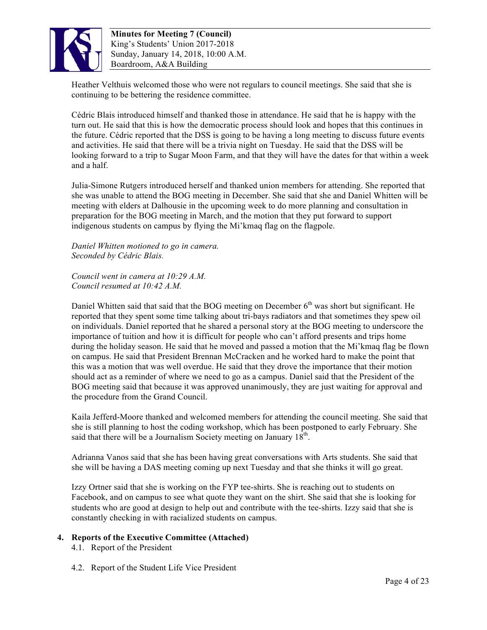

Heather Velthuis welcomed those who were not regulars to council meetings. She said that she is continuing to be bettering the residence committee.

Cédric Blais introduced himself and thanked those in attendance. He said that he is happy with the turn out. He said that this is how the democratic process should look and hopes that this continues in the future. Cédric reported that the DSS is going to be having a long meeting to discuss future events and activities. He said that there will be a trivia night on Tuesday. He said that the DSS will be looking forward to a trip to Sugar Moon Farm, and that they will have the dates for that within a week and a half.

Julia-Simone Rutgers introduced herself and thanked union members for attending. She reported that she was unable to attend the BOG meeting in December. She said that she and Daniel Whitten will be meeting with elders at Dalhousie in the upcoming week to do more planning and consultation in preparation for the BOG meeting in March, and the motion that they put forward to support indigenous students on campus by flying the Mi'kmaq flag on the flagpole.

*Daniel Whitten motioned to go in camera. Seconded by Cédric Blais.*

*Council went in camera at 10:29 A.M. Council resumed at 10:42 A.M.*

Daniel Whitten said that said that the BOG meeting on December  $6<sup>th</sup>$  was short but significant. He reported that they spent some time talking about tri-bays radiators and that sometimes they spew oil on individuals. Daniel reported that he shared a personal story at the BOG meeting to underscore the importance of tuition and how it is difficult for people who can't afford presents and trips home during the holiday season. He said that he moved and passed a motion that the Mi'kmaq flag be flown on campus. He said that President Brennan McCracken and he worked hard to make the point that this was a motion that was well overdue. He said that they drove the importance that their motion should act as a reminder of where we need to go as a campus. Daniel said that the President of the BOG meeting said that because it was approved unanimously, they are just waiting for approval and the procedure from the Grand Council.

Kaila Jefferd-Moore thanked and welcomed members for attending the council meeting. She said that she is still planning to host the coding workshop, which has been postponed to early February. She said that there will be a Journalism Society meeting on January  $18<sup>th</sup>$ .

Adrianna Vanos said that she has been having great conversations with Arts students. She said that she will be having a DAS meeting coming up next Tuesday and that she thinks it will go great.

Izzy Ortner said that she is working on the FYP tee-shirts. She is reaching out to students on Facebook, and on campus to see what quote they want on the shirt. She said that she is looking for students who are good at design to help out and contribute with the tee-shirts. Izzy said that she is constantly checking in with racialized students on campus.

# **4. Reports of the Executive Committee (Attached)**

- 4.1. Report of the President
- 4.2. Report of the Student Life Vice President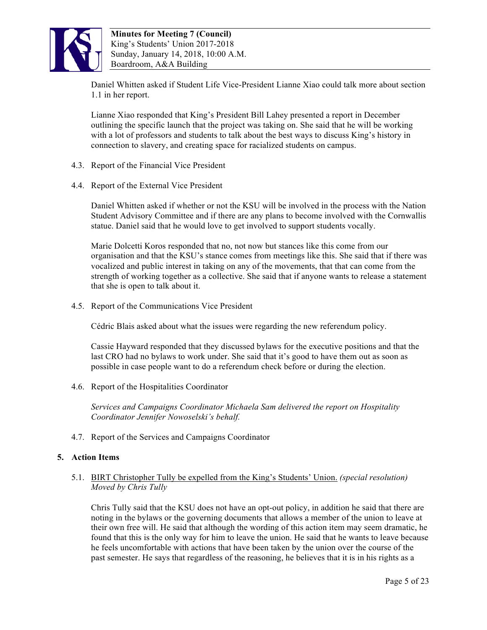

Daniel Whitten asked if Student Life Vice-President Lianne Xiao could talk more about section 1.1 in her report.

Lianne Xiao responded that King's President Bill Lahey presented a report in December outlining the specific launch that the project was taking on. She said that he will be working with a lot of professors and students to talk about the best ways to discuss King's history in connection to slavery, and creating space for racialized students on campus.

- 4.3. Report of the Financial Vice President
- 4.4. Report of the External Vice President

Daniel Whitten asked if whether or not the KSU will be involved in the process with the Nation Student Advisory Committee and if there are any plans to become involved with the Cornwallis statue. Daniel said that he would love to get involved to support students vocally.

Marie Dolcetti Koros responded that no, not now but stances like this come from our organisation and that the KSU's stance comes from meetings like this. She said that if there was vocalized and public interest in taking on any of the movements, that that can come from the strength of working together as a collective. She said that if anyone wants to release a statement that she is open to talk about it.

4.5. Report of the Communications Vice President

Cédric Blais asked about what the issues were regarding the new referendum policy.

Cassie Hayward responded that they discussed bylaws for the executive positions and that the last CRO had no bylaws to work under. She said that it's good to have them out as soon as possible in case people want to do a referendum check before or during the election.

4.6. Report of the Hospitalities Coordinator

*Services and Campaigns Coordinator Michaela Sam delivered the report on Hospitality Coordinator Jennifer Nowoselski's behalf.*

4.7. Report of the Services and Campaigns Coordinator

# **5. Action Items**

## 5.1. BIRT Christopher Tully be expelled from the King's Students' Union. *(special resolution) Moved by Chris Tully*

Chris Tully said that the KSU does not have an opt-out policy, in addition he said that there are noting in the bylaws or the governing documents that allows a member of the union to leave at their own free will. He said that although the wording of this action item may seem dramatic, he found that this is the only way for him to leave the union. He said that he wants to leave because he feels uncomfortable with actions that have been taken by the union over the course of the past semester. He says that regardless of the reasoning, he believes that it is in his rights as a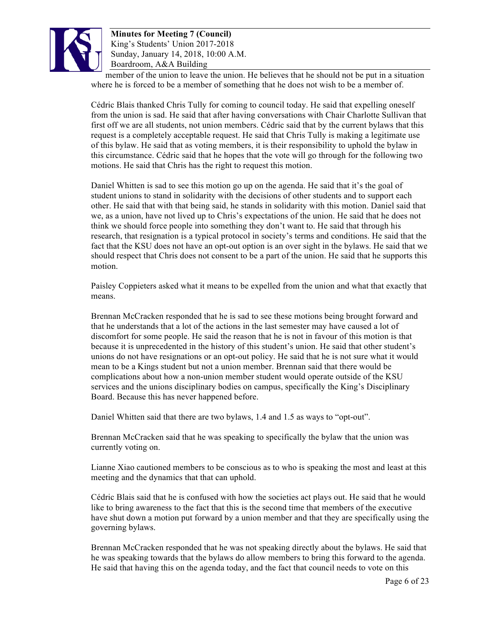

member of the union to leave the union. He believes that he should not be put in a situation where he is forced to be a member of something that he does not wish to be a member of.

Cédric Blais thanked Chris Tully for coming to council today. He said that expelling oneself from the union is sad. He said that after having conversations with Chair Charlotte Sullivan that first off we are all students, not union members. Cédric said that by the current bylaws that this request is a completely acceptable request. He said that Chris Tully is making a legitimate use of this bylaw. He said that as voting members, it is their responsibility to uphold the bylaw in this circumstance. Cédric said that he hopes that the vote will go through for the following two motions. He said that Chris has the right to request this motion.

Daniel Whitten is sad to see this motion go up on the agenda. He said that it's the goal of student unions to stand in solidarity with the decisions of other students and to support each other. He said that with that being said, he stands in solidarity with this motion. Daniel said that we, as a union, have not lived up to Chris's expectations of the union. He said that he does not think we should force people into something they don't want to. He said that through his research, that resignation is a typical protocol in society's terms and conditions. He said that the fact that the KSU does not have an opt-out option is an over sight in the bylaws. He said that we should respect that Chris does not consent to be a part of the union. He said that he supports this motion.

Paisley Coppieters asked what it means to be expelled from the union and what that exactly that means.

Brennan McCracken responded that he is sad to see these motions being brought forward and that he understands that a lot of the actions in the last semester may have caused a lot of discomfort for some people. He said the reason that he is not in favour of this motion is that because it is unprecedented in the history of this student's union. He said that other student's unions do not have resignations or an opt-out policy. He said that he is not sure what it would mean to be a Kings student but not a union member. Brennan said that there would be complications about how a non-union member student would operate outside of the KSU services and the unions disciplinary bodies on campus, specifically the King's Disciplinary Board. Because this has never happened before.

Daniel Whitten said that there are two bylaws, 1.4 and 1.5 as ways to "opt-out".

Brennan McCracken said that he was speaking to specifically the bylaw that the union was currently voting on.

Lianne Xiao cautioned members to be conscious as to who is speaking the most and least at this meeting and the dynamics that that can uphold.

Cédric Blais said that he is confused with how the societies act plays out. He said that he would like to bring awareness to the fact that this is the second time that members of the executive have shut down a motion put forward by a union member and that they are specifically using the governing bylaws.

Brennan McCracken responded that he was not speaking directly about the bylaws. He said that he was speaking towards that the bylaws do allow members to bring this forward to the agenda. He said that having this on the agenda today, and the fact that council needs to vote on this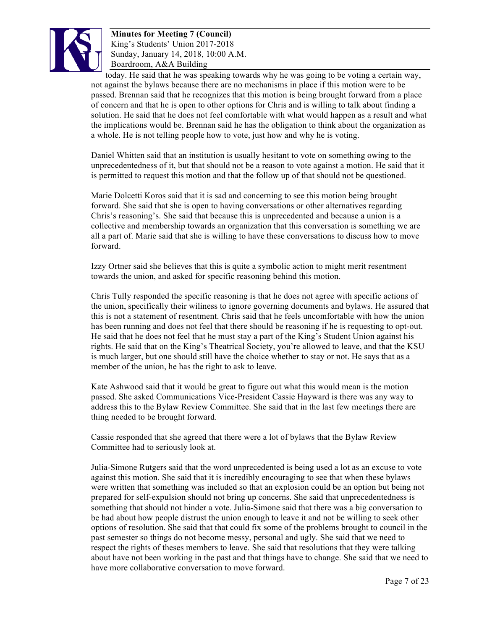

today. He said that he was speaking towards why he was going to be voting a certain way, not against the bylaws because there are no mechanisms in place if this motion were to be passed. Brennan said that he recognizes that this motion is being brought forward from a place of concern and that he is open to other options for Chris and is willing to talk about finding a solution. He said that he does not feel comfortable with what would happen as a result and what the implications would be. Brennan said he has the obligation to think about the organization as a whole. He is not telling people how to vote, just how and why he is voting.

Daniel Whitten said that an institution is usually hesitant to vote on something owing to the unprecedentedness of it, but that should not be a reason to vote against a motion. He said that it is permitted to request this motion and that the follow up of that should not be questioned.

Marie Dolcetti Koros said that it is sad and concerning to see this motion being brought forward. She said that she is open to having conversations or other alternatives regarding Chris's reasoning's. She said that because this is unprecedented and because a union is a collective and membership towards an organization that this conversation is something we are all a part of. Marie said that she is willing to have these conversations to discuss how to move forward.

Izzy Ortner said she believes that this is quite a symbolic action to might merit resentment towards the union, and asked for specific reasoning behind this motion.

Chris Tully responded the specific reasoning is that he does not agree with specific actions of the union, specifically their wiliness to ignore governing documents and bylaws. He assured that this is not a statement of resentment. Chris said that he feels uncomfortable with how the union has been running and does not feel that there should be reasoning if he is requesting to opt-out. He said that he does not feel that he must stay a part of the King's Student Union against his rights. He said that on the King's Theatrical Society, you're allowed to leave, and that the KSU is much larger, but one should still have the choice whether to stay or not. He says that as a member of the union, he has the right to ask to leave.

Kate Ashwood said that it would be great to figure out what this would mean is the motion passed. She asked Communications Vice-President Cassie Hayward is there was any way to address this to the Bylaw Review Committee. She said that in the last few meetings there are thing needed to be brought forward.

Cassie responded that she agreed that there were a lot of bylaws that the Bylaw Review Committee had to seriously look at.

Julia-Simone Rutgers said that the word unprecedented is being used a lot as an excuse to vote against this motion. She said that it is incredibly encouraging to see that when these bylaws were written that something was included so that an explosion could be an option but being not prepared for self-expulsion should not bring up concerns. She said that unprecedentedness is something that should not hinder a vote. Julia-Simone said that there was a big conversation to be had about how people distrust the union enough to leave it and not be willing to seek other options of resolution. She said that that could fix some of the problems brought to council in the past semester so things do not become messy, personal and ugly. She said that we need to respect the rights of theses members to leave. She said that resolutions that they were talking about have not been working in the past and that things have to change. She said that we need to have more collaborative conversation to move forward.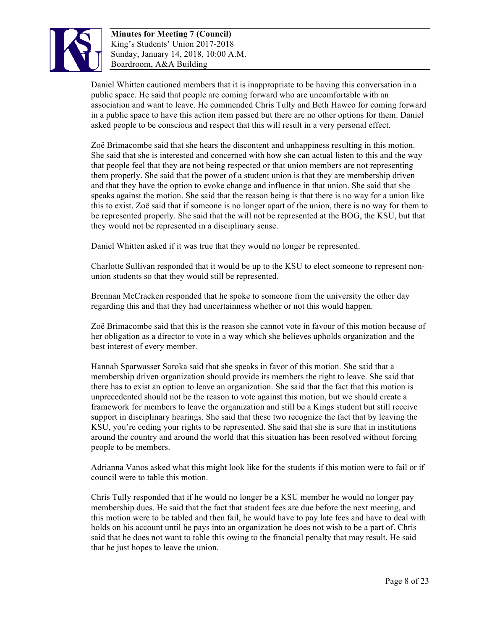

Daniel Whitten cautioned members that it is inappropriate to be having this conversation in a public space. He said that people are coming forward who are uncomfortable with an association and want to leave. He commended Chris Tully and Beth Hawco for coming forward in a public space to have this action item passed but there are no other options for them. Daniel asked people to be conscious and respect that this will result in a very personal effect.

Zoë Brimacombe said that she hears the discontent and unhappiness resulting in this motion. She said that she is interested and concerned with how she can actual listen to this and the way that people feel that they are not being respected or that union members are not representing them properly. She said that the power of a student union is that they are membership driven and that they have the option to evoke change and influence in that union. She said that she speaks against the motion. She said that the reason being is that there is no way for a union like this to exist. Zoë said that if someone is no longer apart of the union, there is no way for them to be represented properly. She said that the will not be represented at the BOG, the KSU, but that they would not be represented in a disciplinary sense.

Daniel Whitten asked if it was true that they would no longer be represented.

Charlotte Sullivan responded that it would be up to the KSU to elect someone to represent nonunion students so that they would still be represented.

Brennan McCracken responded that he spoke to someone from the university the other day regarding this and that they had uncertainness whether or not this would happen.

Zoë Brimacombe said that this is the reason she cannot vote in favour of this motion because of her obligation as a director to vote in a way which she believes upholds organization and the best interest of every member.

Hannah Sparwasser Soroka said that she speaks in favor of this motion. She said that a membership driven organization should provide its members the right to leave. She said that there has to exist an option to leave an organization. She said that the fact that this motion is unprecedented should not be the reason to vote against this motion, but we should create a framework for members to leave the organization and still be a Kings student but still receive support in disciplinary hearings. She said that these two recognize the fact that by leaving the KSU, you're ceding your rights to be represented. She said that she is sure that in institutions around the country and around the world that this situation has been resolved without forcing people to be members.

Adrianna Vanos asked what this might look like for the students if this motion were to fail or if council were to table this motion.

Chris Tully responded that if he would no longer be a KSU member he would no longer pay membership dues. He said that the fact that student fees are due before the next meeting, and this motion were to be tabled and then fail, he would have to pay late fees and have to deal with holds on his account until he pays into an organization he does not wish to be a part of. Chris said that he does not want to table this owing to the financial penalty that may result. He said that he just hopes to leave the union.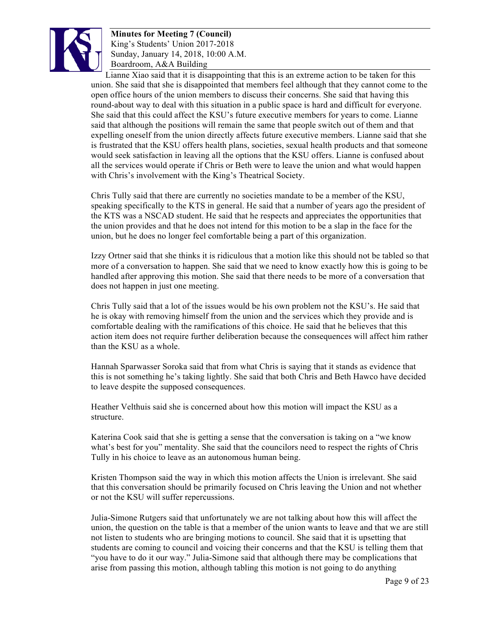

Lianne Xiao said that it is disappointing that this is an extreme action to be taken for this union. She said that she is disappointed that members feel although that they cannot come to the open office hours of the union members to discuss their concerns. She said that having this round-about way to deal with this situation in a public space is hard and difficult for everyone. She said that this could affect the KSU's future executive members for years to come. Lianne said that although the positions will remain the same that people switch out of them and that expelling oneself from the union directly affects future executive members. Lianne said that she is frustrated that the KSU offers health plans, societies, sexual health products and that someone would seek satisfaction in leaving all the options that the KSU offers. Lianne is confused about all the services would operate if Chris or Beth were to leave the union and what would happen with Chris's involvement with the King's Theatrical Society.

Chris Tully said that there are currently no societies mandate to be a member of the KSU, speaking specifically to the KTS in general. He said that a number of years ago the president of the KTS was a NSCAD student. He said that he respects and appreciates the opportunities that the union provides and that he does not intend for this motion to be a slap in the face for the union, but he does no longer feel comfortable being a part of this organization.

Izzy Ortner said that she thinks it is ridiculous that a motion like this should not be tabled so that more of a conversation to happen. She said that we need to know exactly how this is going to be handled after approving this motion. She said that there needs to be more of a conversation that does not happen in just one meeting.

Chris Tully said that a lot of the issues would be his own problem not the KSU's. He said that he is okay with removing himself from the union and the services which they provide and is comfortable dealing with the ramifications of this choice. He said that he believes that this action item does not require further deliberation because the consequences will affect him rather than the KSU as a whole.

Hannah Sparwasser Soroka said that from what Chris is saying that it stands as evidence that this is not something he's taking lightly. She said that both Chris and Beth Hawco have decided to leave despite the supposed consequences.

Heather Velthuis said she is concerned about how this motion will impact the KSU as a structure.

Katerina Cook said that she is getting a sense that the conversation is taking on a "we know what's best for you" mentality. She said that the councilors need to respect the rights of Chris Tully in his choice to leave as an autonomous human being.

Kristen Thompson said the way in which this motion affects the Union is irrelevant. She said that this conversation should be primarily focused on Chris leaving the Union and not whether or not the KSU will suffer repercussions.

Julia-Simone Rutgers said that unfortunately we are not talking about how this will affect the union, the question on the table is that a member of the union wants to leave and that we are still not listen to students who are bringing motions to council. She said that it is upsetting that students are coming to council and voicing their concerns and that the KSU is telling them that "you have to do it our way." Julia-Simone said that although there may be complications that arise from passing this motion, although tabling this motion is not going to do anything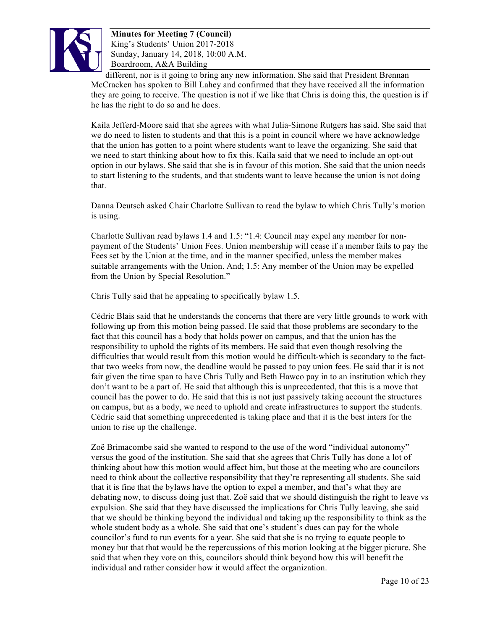

different, nor is it going to bring any new information. She said that President Brennan McCracken has spoken to Bill Lahey and confirmed that they have received all the information they are going to receive. The question is not if we like that Chris is doing this, the question is if he has the right to do so and he does.

Kaila Jefferd-Moore said that she agrees with what Julia-Simone Rutgers has said. She said that we do need to listen to students and that this is a point in council where we have acknowledge that the union has gotten to a point where students want to leave the organizing. She said that we need to start thinking about how to fix this. Kaila said that we need to include an opt-out option in our bylaws. She said that she is in favour of this motion. She said that the union needs to start listening to the students, and that students want to leave because the union is not doing that.

Danna Deutsch asked Chair Charlotte Sullivan to read the bylaw to which Chris Tully's motion is using.

Charlotte Sullivan read bylaws 1.4 and 1.5: "1.4: Council may expel any member for nonpayment of the Students' Union Fees. Union membership will cease if a member fails to pay the Fees set by the Union at the time, and in the manner specified, unless the member makes suitable arrangements with the Union. And; 1.5: Any member of the Union may be expelled from the Union by Special Resolution."

Chris Tully said that he appealing to specifically bylaw 1.5.

Cédric Blais said that he understands the concerns that there are very little grounds to work with following up from this motion being passed. He said that those problems are secondary to the fact that this council has a body that holds power on campus, and that the union has the responsibility to uphold the rights of its members. He said that even though resolving the difficulties that would result from this motion would be difficult-which is secondary to the factthat two weeks from now, the deadline would be passed to pay union fees. He said that it is not fair given the time span to have Chris Tully and Beth Hawco pay in to an institution which they don't want to be a part of. He said that although this is unprecedented, that this is a move that council has the power to do. He said that this is not just passively taking account the structures on campus, but as a body, we need to uphold and create infrastructures to support the students. Cédric said that something unprecedented is taking place and that it is the best inters for the union to rise up the challenge.

Zoë Brimacombe said she wanted to respond to the use of the word "individual autonomy" versus the good of the institution. She said that she agrees that Chris Tully has done a lot of thinking about how this motion would affect him, but those at the meeting who are councilors need to think about the collective responsibility that they're representing all students. She said that it is fine that the bylaws have the option to expel a member, and that's what they are debating now, to discuss doing just that. Zoë said that we should distinguish the right to leave vs expulsion. She said that they have discussed the implications for Chris Tully leaving, she said that we should be thinking beyond the individual and taking up the responsibility to think as the whole student body as a whole. She said that one's student's dues can pay for the whole councilor's fund to run events for a year. She said that she is no trying to equate people to money but that that would be the repercussions of this motion looking at the bigger picture. She said that when they vote on this, councilors should think beyond how this will benefit the individual and rather consider how it would affect the organization.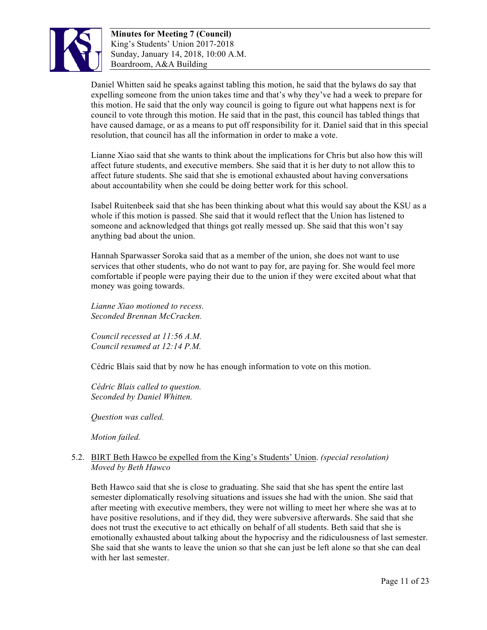

Daniel Whitten said he speaks against tabling this motion, he said that the bylaws do say that expelling someone from the union takes time and that's why they've had a week to prepare for this motion. He said that the only way council is going to figure out what happens next is for council to vote through this motion. He said that in the past, this council has tabled things that have caused damage, or as a means to put off responsibility for it. Daniel said that in this special resolution, that council has all the information in order to make a vote.

Lianne Xiao said that she wants to think about the implications for Chris but also how this will affect future students, and executive members. She said that it is her duty to not allow this to affect future students. She said that she is emotional exhausted about having conversations about accountability when she could be doing better work for this school.

Isabel Ruitenbeek said that she has been thinking about what this would say about the KSU as a whole if this motion is passed. She said that it would reflect that the Union has listened to someone and acknowledged that things got really messed up. She said that this won't say anything bad about the union.

Hannah Sparwasser Soroka said that as a member of the union, she does not want to use services that other students, who do not want to pay for, are paying for. She would feel more comfortable if people were paying their due to the union if they were excited about what that money was going towards.

*Lianne Xiao motioned to recess. Seconded Brennan McCracken.* 

*Council recessed at 11:56 A.M. Council resumed at 12:14 P.M.*

Cédric Blais said that by now he has enough information to vote on this motion.

*Cédric Blais called to question. Seconded by Daniel Whitten.*

*Question was called.*

*Motion failed.*

### 5.2. BIRT Beth Hawco be expelled from the King's Students' Union. *(special resolution) Moved by Beth Hawco*

Beth Hawco said that she is close to graduating. She said that she has spent the entire last semester diplomatically resolving situations and issues she had with the union. She said that after meeting with executive members, they were not willing to meet her where she was at to have positive resolutions, and if they did, they were subversive afterwards. She said that she does not trust the executive to act ethically on behalf of all students. Beth said that she is emotionally exhausted about talking about the hypocrisy and the ridiculousness of last semester. She said that she wants to leave the union so that she can just be left alone so that she can deal with her last semester.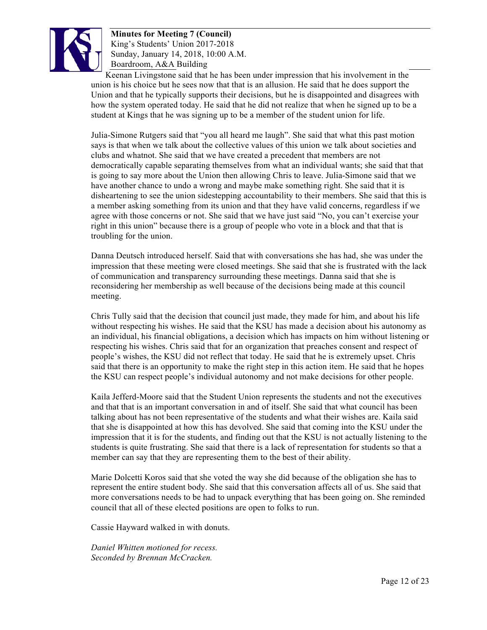

Keenan Livingstone said that he has been under impression that his involvement in the union is his choice but he sees now that that is an allusion. He said that he does support the Union and that he typically supports their decisions, but he is disappointed and disagrees with how the system operated today. He said that he did not realize that when he signed up to be a student at Kings that he was signing up to be a member of the student union for life.

Julia-Simone Rutgers said that "you all heard me laugh". She said that what this past motion says is that when we talk about the collective values of this union we talk about societies and clubs and whatnot. She said that we have created a precedent that members are not democratically capable separating themselves from what an individual wants; she said that that is going to say more about the Union then allowing Chris to leave. Julia-Simone said that we have another chance to undo a wrong and maybe make something right. She said that it is disheartening to see the union sidestepping accountability to their members. She said that this is a member asking something from its union and that they have valid concerns, regardless if we agree with those concerns or not. She said that we have just said "No, you can't exercise your right in this union" because there is a group of people who vote in a block and that that is troubling for the union.

Danna Deutsch introduced herself. Said that with conversations she has had, she was under the impression that these meeting were closed meetings. She said that she is frustrated with the lack of communication and transparency surrounding these meetings. Danna said that she is reconsidering her membership as well because of the decisions being made at this council meeting.

Chris Tully said that the decision that council just made, they made for him, and about his life without respecting his wishes. He said that the KSU has made a decision about his autonomy as an individual, his financial obligations, a decision which has impacts on him without listening or respecting his wishes. Chris said that for an organization that preaches consent and respect of people's wishes, the KSU did not reflect that today. He said that he is extremely upset. Chris said that there is an opportunity to make the right step in this action item. He said that he hopes the KSU can respect people's individual autonomy and not make decisions for other people.

Kaila Jefferd-Moore said that the Student Union represents the students and not the executives and that that is an important conversation in and of itself. She said that what council has been talking about has not been representative of the students and what their wishes are. Kaila said that she is disappointed at how this has devolved. She said that coming into the KSU under the impression that it is for the students, and finding out that the KSU is not actually listening to the students is quite frustrating. She said that there is a lack of representation for students so that a member can say that they are representing them to the best of their ability.

Marie Dolcetti Koros said that she voted the way she did because of the obligation she has to represent the entire student body. She said that this conversation affects all of us. She said that more conversations needs to be had to unpack everything that has been going on. She reminded council that all of these elected positions are open to folks to run.

Cassie Hayward walked in with donuts.

*Daniel Whitten motioned for recess. Seconded by Brennan McCracken.*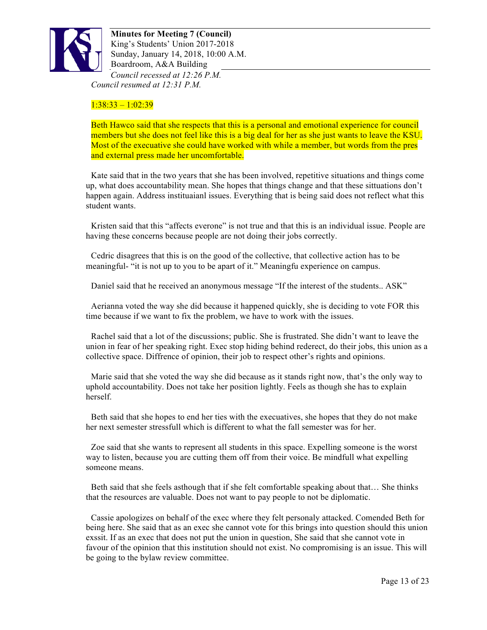

**Minutes for Meeting 7 (Council)** King's Students' Union 2017-2018 Sunday, January 14, 2018, 10:00 A.M. Boardroom, A&A Building *Council recessed at 12:26 P.M. Council resumed at 12:31 P.M.*

## $1:38:33 - 1:02:39$

Beth Hawco said that she respects that this is a personal and emotional experience for council members but she does not feel like this is a big deal for her as she just wants to leave the KSU. Most of the execuative she could have worked with while a member, but words from the pres and external press made her uncomfortable.

Kate said that in the two years that she has been involved, repetitive situations and things come up, what does accountability mean. She hopes that things change and that these sittuations don't happen again. Address instituaianl issues. Everything that is being said does not reflect what this student wants.

Kristen said that this "affects everone" is not true and that this is an individual issue. People are having these concerns because people are not doing their jobs correctly.

Cedric disagrees that this is on the good of the collective, that collective action has to be meaningful- "it is not up to you to be apart of it." Meaningfu experience on campus.

Daniel said that he received an anonymous message "If the interest of the students.. ASK"

Aerianna voted the way she did because it happened quickly, she is deciding to vote FOR this time because if we want to fix the problem, we have to work with the issues.

Rachel said that a lot of the discussions; public. She is frustrated. She didn't want to leave the union in fear of her speaking right. Exec stop hiding behind rederect, do their jobs, this union as a collective space. Diffrence of opinion, their job to respect other's rights and opinions.

Marie said that she voted the way she did because as it stands right now, that's the only way to uphold accountability. Does not take her position lightly. Feels as though she has to explain herself.

Beth said that she hopes to end her ties with the execuatives, she hopes that they do not make her next semester stressfull which is different to what the fall semester was for her.

Zoe said that she wants to represent all students in this space. Expelling someone is the worst way to listen, because you are cutting them off from their voice. Be mindfull what expelling someone means.

Beth said that she feels asthough that if she felt comfortable speaking about that… She thinks that the resources are valuable. Does not want to pay people to not be diplomatic.

Cassie apologizes on behalf of the exec where they felt personaly attacked. Comended Beth for being here. She said that as an exec she cannot vote for this brings into question should this union exssit. If as an exec that does not put the union in question, She said that she cannot vote in favour of the opinion that this institution should not exist. No compromising is an issue. This will be going to the bylaw review committee.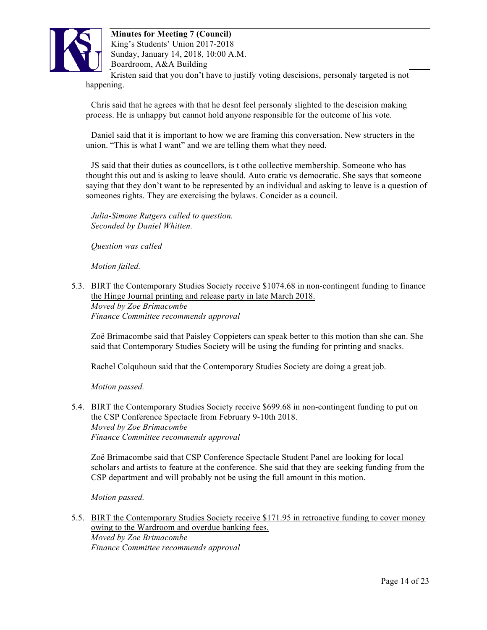

**Minutes for Meeting 7 (Council)** King's Students' Union 2017-2018 Sunday, January 14, 2018, 10:00 A.M. Boardroom, A&A Building Kristen said that you don't have to justify voting descisions, personaly targeted is not happening.

Chris said that he agrees with that he desnt feel personaly slighted to the descision making process. He is unhappy but cannot hold anyone responsible for the outcome of his vote.

Daniel said that it is important to how we are framing this conversation. New structers in the union. "This is what I want" and we are telling them what they need.

JS said that their duties as councellors, is t othe collective membership. Someone who has thought this out and is asking to leave should. Auto cratic vs democratic. She says that someone saying that they don't want to be represented by an individual and asking to leave is a question of someones rights. They are exercising the bylaws. Concider as a council.

*Julia-Simone Rutgers called to question. Seconded by Daniel Whitten.*

*Question was called*

*Motion failed.*

5.3. BIRT the Contemporary Studies Society receive \$1074.68 in non-contingent funding to finance the Hinge Journal printing and release party in late March 2018. *Moved by Zoe Brimacombe Finance Committee recommends approval*

Zoë Brimacombe said that Paisley Coppieters can speak better to this motion than she can. She said that Contemporary Studies Society will be using the funding for printing and snacks.

Rachel Colquhoun said that the Contemporary Studies Society are doing a great job.

*Motion passed.*

5.4. BIRT the Contemporary Studies Society receive \$699.68 in non-contingent funding to put on the CSP Conference Spectacle from February 9-10th 2018. *Moved by Zoe Brimacombe Finance Committee recommends approval*

Zoë Brimacombe said that CSP Conference Spectacle Student Panel are looking for local scholars and artists to feature at the conference. She said that they are seeking funding from the CSP department and will probably not be using the full amount in this motion.

*Motion passed.*

5.5. BIRT the Contemporary Studies Society receive \$171.95 in retroactive funding to cover money owing to the Wardroom and overdue banking fees.

*Moved by Zoe Brimacombe Finance Committee recommends approval*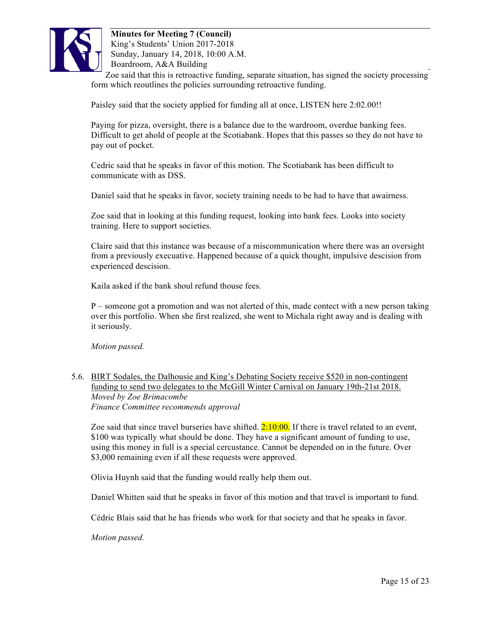

Zoe said that this is retroactive funding, separate situation, has signed the society processing form which reoutlines the policies surrounding retroactive funding.

Paisley said that the society applied for funding all at once, LISTEN here 2:02.00!!

Paying for pizza, oversight, there is a balance due to the wardroom, overdue banking fees. Difficult to get ahold of people at the Scotiabank. Hopes that this passes so they do not have to pay out of pocket.

Cedric said that he speaks in favor of this motion. The Scotiabank has been difficult to communicate with as DSS.

Daniel said that he speaks in favor, society training needs to be had to have that awairness.

Zoe said that in looking at this funding request, looking into bank fees. Looks into society training. Here to support societies.

Claire said that this instance was because of a miscommunication where there was an oversight from a previously execuative. Happened because of a quick thought, impulsive descision from experienced descision.

Kaila asked if the bank shoul refund thouse fees.

P – someone got a promotion and was not alerted of this, made contect with a new person taking over this portfolio. When she first realized, she went to Michala right away and is dealing with it seriously.

*Motion passed.*

5.6. BIRT Sodales, the Dalhousie and King's Debating Society receive \$520 in non-contingent funding to send two delegates to the McGill Winter Carnival on January 19th-21st 2018. *Moved by Zoe Brimacombe Finance Committee recommends approval*

Zoe said that since travel burseries have shifted.  $2:10:00$ . If there is travel related to an event, \$100 was typically what should be done. They have a significant amount of funding to use, using this money in full is a special cercustance. Cannot be depended on in the future. Over \$3,000 remaining even if all these requests were approved.

Olivia Huynh said that the funding would really help them out.

Daniel Whitten said that he speaks in favor of this motion and that travel is important to fund.

Cédric Blais said that he has friends who work for that society and that he speaks in favor.

*Motion passed.*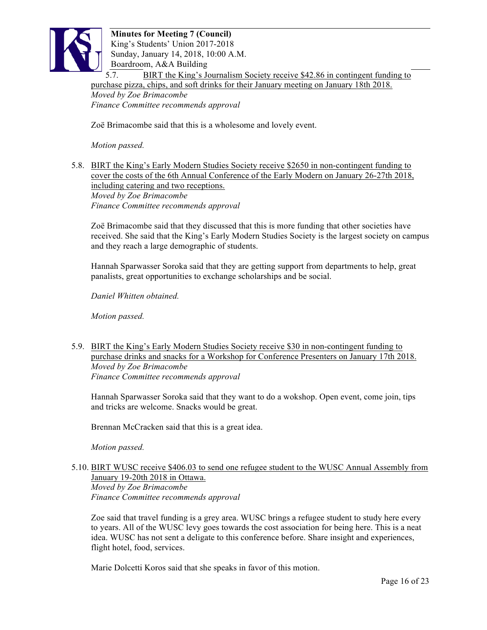

5.7. BIRT the King's Journalism Society receive \$42.86 in contingent funding to purchase pizza, chips, and soft drinks for their January meeting on January 18th 2018.

*Moved by Zoe Brimacombe Finance Committee recommends approval*

Zoë Brimacombe said that this is a wholesome and lovely event.

*Motion passed.*

### 5.8. BIRT the King's Early Modern Studies Society receive \$2650 in non-contingent funding to cover the costs of the 6th Annual Conference of the Early Modern on January 26-27th 2018, including catering and two receptions. *Moved by Zoe Brimacombe Finance Committee recommends approval*

Zoë Brimacombe said that they discussed that this is more funding that other societies have received. She said that the King's Early Modern Studies Society is the largest society on campus and they reach a large demographic of students.

Hannah Sparwasser Soroka said that they are getting support from departments to help, great panalists, great opportunities to exchange scholarships and be social.

*Daniel Whitten obtained.*

*Motion passed.*

5.9. BIRT the King's Early Modern Studies Society receive \$30 in non-contingent funding to purchase drinks and snacks for a Workshop for Conference Presenters on January 17th 2018. *Moved by Zoe Brimacombe Finance Committee recommends approval*

Hannah Sparwasser Soroka said that they want to do a wokshop. Open event, come join, tips and tricks are welcome. Snacks would be great.

Brennan McCracken said that this is a great idea.

*Motion passed.*

### 5.10. BIRT WUSC receive \$406.03 to send one refugee student to the WUSC Annual Assembly from January 19-20th 2018 in Ottawa. *Moved by Zoe Brimacombe Finance Committee recommends approval*

Zoe said that travel funding is a grey area. WUSC brings a refugee student to study here every to years. All of the WUSC levy goes towards the cost association for being here. This is a neat idea. WUSC has not sent a deligate to this conference before. Share insight and experiences, flight hotel, food, services.

Marie Dolcetti Koros said that she speaks in favor of this motion.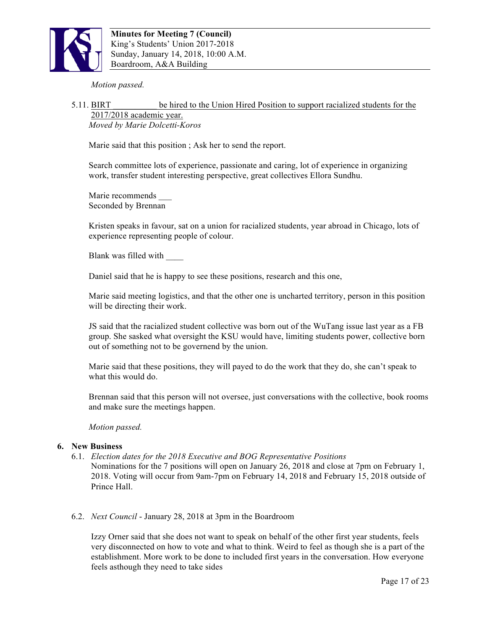

*Motion passed.*

#### 5.11. BIRT **be hired to the Union Hired Position to support racialized students for the** 2017/2018 academic year. *Moved by Marie Dolcetti-Koros*

Marie said that this position ; Ask her to send the report.

Search committee lots of experience, passionate and caring, lot of experience in organizing work, transfer student interesting perspective, great collectives Ellora Sundhu.

Marie recommends Seconded by Brennan

Kristen speaks in favour, sat on a union for racialized students, year abroad in Chicago, lots of experience representing people of colour.

Blank was filled with

Daniel said that he is happy to see these positions, research and this one,

Marie said meeting logistics, and that the other one is uncharted territory, person in this position will be directing their work.

JS said that the racialized student collective was born out of the WuTang issue last year as a FB group. She sasked what oversight the KSU would have, limiting students power, collective born out of something not to be governend by the union.

Marie said that these positions, they will payed to do the work that they do, she can't speak to what this would do.

Brennan said that this person will not oversee, just conversations with the collective, book rooms and make sure the meetings happen.

*Motion passed.*

### **6. New Business**

- 6.1. *Election dates for the 2018 Executive and BOG Representative Positions* Nominations for the 7 positions will open on January 26, 2018 and close at 7pm on February 1, 2018. Voting will occur from 9am-7pm on February 14, 2018 and February 15, 2018 outside of Prince Hall.
- 6.2. *Next Council* January 28, 2018 at 3pm in the Boardroom

Izzy Orner said that she does not want to speak on behalf of the other first year students, feels very disconnected on how to vote and what to think. Weird to feel as though she is a part of the establishment. More work to be done to included first years in the conversation. How everyone feels asthough they need to take sides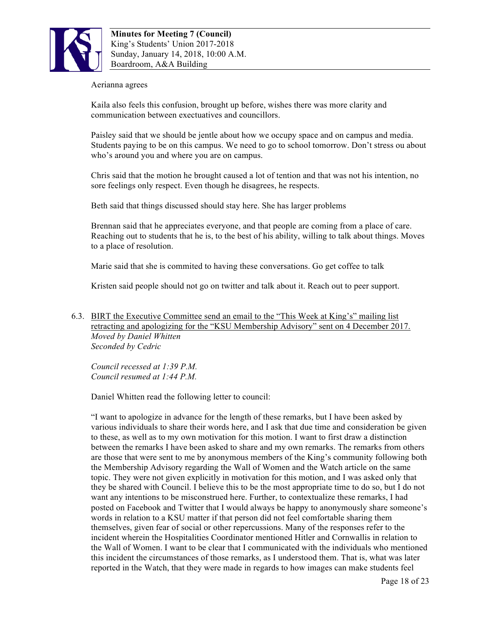

#### Aerianna agrees

Kaila also feels this confusion, brought up before, wishes there was more clarity and communication between exectuatives and councillors.

Paisley said that we should be jentle about how we occupy space and on campus and media. Students paying to be on this campus. We need to go to school tomorrow. Don't stress ou about who's around you and where you are on campus.

Chris said that the motion he brought caused a lot of tention and that was not his intention, no sore feelings only respect. Even though he disagrees, he respects.

Beth said that things discussed should stay here. She has larger problems

Brennan said that he appreciates everyone, and that people are coming from a place of care. Reaching out to students that he is, to the best of his ability, willing to talk about things. Moves to a place of resolution.

Marie said that she is commited to having these conversations. Go get coffee to talk

Kristen said people should not go on twitter and talk about it. Reach out to peer support.

6.3. BIRT the Executive Committee send an email to the "This Week at King's" mailing list retracting and apologizing for the "KSU Membership Advisory" sent on 4 December 2017. *Moved by Daniel Whitten Seconded by Cedric*

*Council recessed at 1:39 P.M. Council resumed at 1:44 P.M.*

Daniel Whitten read the following letter to council:

"I want to apologize in advance for the length of these remarks, but I have been asked by various individuals to share their words here, and I ask that due time and consideration be given to these, as well as to my own motivation for this motion. I want to first draw a distinction between the remarks I have been asked to share and my own remarks. The remarks from others are those that were sent to me by anonymous members of the King's community following both the Membership Advisory regarding the Wall of Women and the Watch article on the same topic. They were not given explicitly in motivation for this motion, and I was asked only that they be shared with Council. I believe this to be the most appropriate time to do so, but I do not want any intentions to be misconstrued here. Further, to contextualize these remarks, I had posted on Facebook and Twitter that I would always be happy to anonymously share someone's words in relation to a KSU matter if that person did not feel comfortable sharing them themselves, given fear of social or other repercussions. Many of the responses refer to the incident wherein the Hospitalities Coordinator mentioned Hitler and Cornwallis in relation to the Wall of Women. I want to be clear that I communicated with the individuals who mentioned this incident the circumstances of those remarks, as I understood them. That is, what was later reported in the Watch, that they were made in regards to how images can make students feel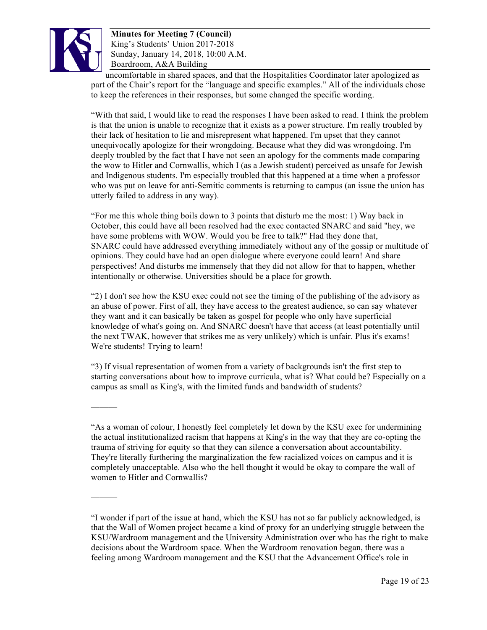

———

———

**Minutes for Meeting 7 (Council)** King's Students' Union 2017-2018 Sunday, January 14, 2018, 10:00 A.M. Boardroom, A&A Building

uncomfortable in shared spaces, and that the Hospitalities Coordinator later apologized as part of the Chair's report for the "language and specific examples." All of the individuals chose to keep the references in their responses, but some changed the specific wording.

"With that said, I would like to read the responses I have been asked to read. I think the problem is that the union is unable to recognize that it exists as a power structure. I'm really troubled by their lack of hesitation to lie and misrepresent what happened. I'm upset that they cannot unequivocally apologize for their wrongdoing. Because what they did was wrongdoing. I'm deeply troubled by the fact that I have not seen an apology for the comments made comparing the wow to Hitler and Cornwallis, which I (as a Jewish student) perceived as unsafe for Jewish and Indigenous students. I'm especially troubled that this happened at a time when a professor who was put on leave for anti-Semitic comments is returning to campus (an issue the union has utterly failed to address in any way).

"For me this whole thing boils down to 3 points that disturb me the most: 1) Way back in October, this could have all been resolved had the exec contacted SNARC and said "hey, we have some problems with WOW. Would you be free to talk?" Had they done that, SNARC could have addressed everything immediately without any of the gossip or multitude of opinions. They could have had an open dialogue where everyone could learn! And share perspectives! And disturbs me immensely that they did not allow for that to happen, whether intentionally or otherwise. Universities should be a place for growth.

"2) I don't see how the KSU exec could not see the timing of the publishing of the advisory as an abuse of power. First of all, they have access to the greatest audience, so can say whatever they want and it can basically be taken as gospel for people who only have superficial knowledge of what's going on. And SNARC doesn't have that access (at least potentially until the next TWAK, however that strikes me as very unlikely) which is unfair. Plus it's exams! We're students! Trying to learn!

"3) If visual representation of women from a variety of backgrounds isn't the first step to starting conversations about how to improve curricula, what is? What could be? Especially on a campus as small as King's, with the limited funds and bandwidth of students?

<sup>&</sup>quot;As a woman of colour, I honestly feel completely let down by the KSU exec for undermining the actual institutionalized racism that happens at King's in the way that they are co-opting the trauma of striving for equity so that they can silence a conversation about accountability. They're literally furthering the marginalization the few racialized voices on campus and it is completely unacceptable. Also who the hell thought it would be okay to compare the wall of women to Hitler and Cornwallis?

<sup>&</sup>quot;I wonder if part of the issue at hand, which the KSU has not so far publicly acknowledged, is that the Wall of Women project became a kind of proxy for an underlying struggle between the KSU/Wardroom management and the University Administration over who has the right to make decisions about the Wardroom space. When the Wardroom renovation began, there was a feeling among Wardroom management and the KSU that the Advancement Office's role in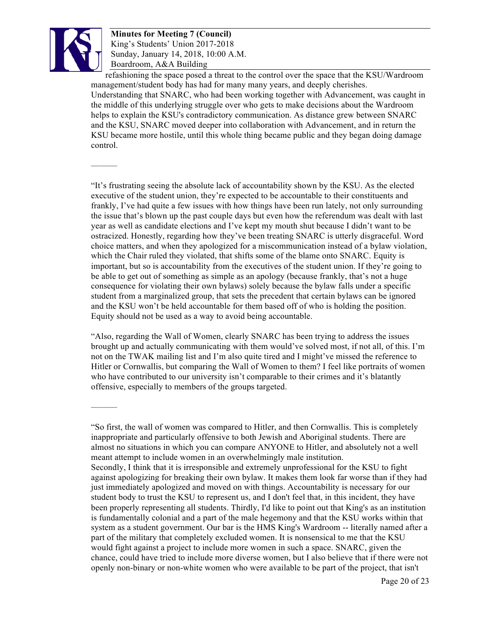

———

———

**Minutes for Meeting 7 (Council)** King's Students' Union 2017-2018 Sunday, January 14, 2018, 10:00 A.M. Boardroom, A&A Building

refashioning the space posed a threat to the control over the space that the KSU/Wardroom management/student body has had for many many years, and deeply cherishes. Understanding that SNARC, who had been working together with Advancement, was caught in the middle of this underlying struggle over who gets to make decisions about the Wardroom helps to explain the KSU's contradictory communication. As distance grew between SNARC and the KSU, SNARC moved deeper into collaboration with Advancement, and in return the KSU became more hostile, until this whole thing became public and they began doing damage control.

"It's frustrating seeing the absolute lack of accountability shown by the KSU. As the elected executive of the student union, they're expected to be accountable to their constituents and frankly, I've had quite a few issues with how things have been run lately, not only surrounding the issue that's blown up the past couple days but even how the referendum was dealt with last year as well as candidate elections and I've kept my mouth shut because I didn't want to be ostracized. Honestly, regarding how they've been treating SNARC is utterly disgraceful. Word choice matters, and when they apologized for a miscommunication instead of a bylaw violation, which the Chair ruled they violated, that shifts some of the blame onto SNARC. Equity is important, but so is accountability from the executives of the student union. If they're going to be able to get out of something as simple as an apology (because frankly, that's not a huge consequence for violating their own bylaws) solely because the bylaw falls under a specific student from a marginalized group, that sets the precedent that certain bylaws can be ignored and the KSU won't be held accountable for them based off of who is holding the position. Equity should not be used as a way to avoid being accountable.

"Also, regarding the Wall of Women, clearly SNARC has been trying to address the issues brought up and actually communicating with them would've solved most, if not all, of this. I'm not on the TWAK mailing list and I'm also quite tired and I might've missed the reference to Hitler or Cornwallis, but comparing the Wall of Women to them? I feel like portraits of women who have contributed to our university isn't comparable to their crimes and it's blatantly offensive, especially to members of the groups targeted.

<sup>&</sup>quot;So first, the wall of women was compared to Hitler, and then Cornwallis. This is completely inappropriate and particularly offensive to both Jewish and Aboriginal students. There are almost no situations in which you can compare ANYONE to Hitler, and absolutely not a well meant attempt to include women in an overwhelmingly male institution. Secondly, I think that it is irresponsible and extremely unprofessional for the KSU to fight against apologizing for breaking their own bylaw. It makes them look far worse than if they had just immediately apologized and moved on with things. Accountability is necessary for our student body to trust the KSU to represent us, and I don't feel that, in this incident, they have been properly representing all students. Thirdly, I'd like to point out that King's as an institution is fundamentally colonial and a part of the male hegemony and that the KSU works within that system as a student government. Our bar is the HMS King's Wardroom -- literally named after a part of the military that completely excluded women. It is nonsensical to me that the KSU would fight against a project to include more women in such a space. SNARC, given the chance, could have tried to include more diverse women, but I also believe that if there were not openly non-binary or non-white women who were available to be part of the project, that isn't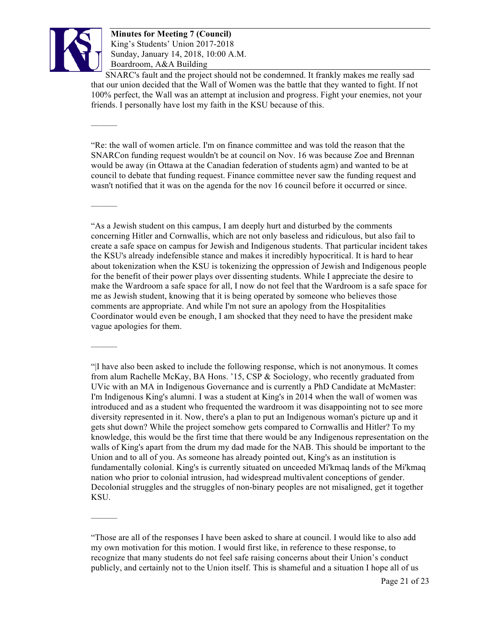

———

———

———

———

**Minutes for Meeting 7 (Council)** King's Students' Union 2017-2018 Sunday, January 14, 2018, 10:00 A.M. Boardroom, A&A Building

SNARC's fault and the project should not be condemned. It frankly makes me really sad that our union decided that the Wall of Women was the battle that they wanted to fight. If not 100% perfect, the Wall was an attempt at inclusion and progress. Fight your enemies, not your friends. I personally have lost my faith in the KSU because of this.

"Re: the wall of women article. I'm on finance committee and was told the reason that the SNARCon funding request wouldn't be at council on Nov. 16 was because Zoe and Brennan would be away (in Ottawa at the Canadian federation of students agm) and wanted to be at council to debate that funding request. Finance committee never saw the funding request and wasn't notified that it was on the agenda for the nov 16 council before it occurred or since.

"As a Jewish student on this campus, I am deeply hurt and disturbed by the comments concerning Hitler and Cornwallis, which are not only baseless and ridiculous, but also fail to create a safe space on campus for Jewish and Indigenous students. That particular incident takes the KSU's already indefensible stance and makes it incredibly hypocritical. It is hard to hear about tokenization when the KSU is tokenizing the oppression of Jewish and Indigenous people for the benefit of their power plays over dissenting students. While I appreciate the desire to make the Wardroom a safe space for all, I now do not feel that the Wardroom is a safe space for me as Jewish student, knowing that it is being operated by someone who believes those comments are appropriate. And while I'm not sure an apology from the Hospitalities Coordinator would even be enough, I am shocked that they need to have the president make vague apologies for them.

"|I have also been asked to include the following response, which is not anonymous. It comes from alum Rachelle McKay, BA Hons. '15, CSP & Sociology, who recently graduated from UVic with an MA in Indigenous Governance and is currently a PhD Candidate at McMaster: I'm Indigenous King's alumni. I was a student at King's in 2014 when the wall of women was introduced and as a student who frequented the wardroom it was disappointing not to see more diversity represented in it. Now, there's a plan to put an Indigenous woman's picture up and it gets shut down? While the project somehow gets compared to Cornwallis and Hitler? To my knowledge, this would be the first time that there would be any Indigenous representation on the walls of King's apart from the drum my dad made for the NAB. This should be important to the Union and to all of you. As someone has already pointed out, King's as an institution is fundamentally colonial. King's is currently situated on unceeded Mi'kmaq lands of the Mi'kmaq nation who prior to colonial intrusion, had widespread multivalent conceptions of gender. Decolonial struggles and the struggles of non-binary peoples are not misaligned, get it together KSU.

<sup>&</sup>quot;Those are all of the responses I have been asked to share at council. I would like to also add my own motivation for this motion. I would first like, in reference to these response, to recognize that many students do not feel safe raising concerns about their Union's conduct publicly, and certainly not to the Union itself. This is shameful and a situation I hope all of us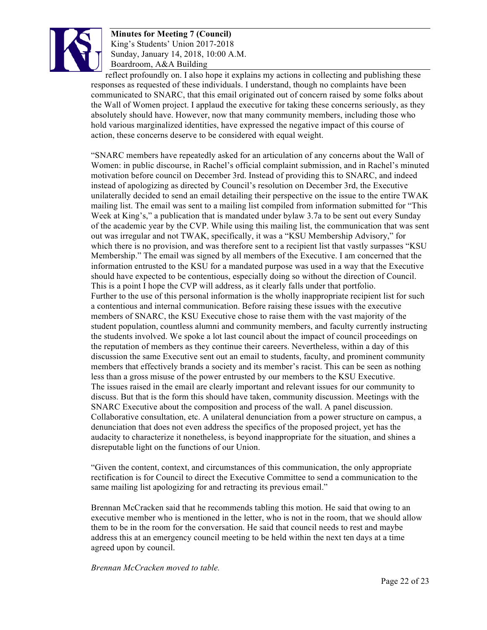

reflect profoundly on. I also hope it explains my actions in collecting and publishing these responses as requested of these individuals. I understand, though no complaints have been communicated to SNARC, that this email originated out of concern raised by some folks about the Wall of Women project. I applaud the executive for taking these concerns seriously, as they absolutely should have. However, now that many community members, including those who hold various marginalized identities, have expressed the negative impact of this course of action, these concerns deserve to be considered with equal weight.

"SNARC members have repeatedly asked for an articulation of any concerns about the Wall of Women: in public discourse, in Rachel's official complaint submission, and in Rachel's minuted motivation before council on December 3rd. Instead of providing this to SNARC, and indeed instead of apologizing as directed by Council's resolution on December 3rd, the Executive unilaterally decided to send an email detailing their perspective on the issue to the entire TWAK mailing list. The email was sent to a mailing list compiled from information submitted for "This Week at King's," a publication that is mandated under bylaw 3.7a to be sent out every Sunday of the academic year by the CVP. While using this mailing list, the communication that was sent out was irregular and not TWAK, specifically, it was a "KSU Membership Advisory," for which there is no provision, and was therefore sent to a recipient list that vastly surpasses "KSU" Membership." The email was signed by all members of the Executive. I am concerned that the information entrusted to the KSU for a mandated purpose was used in a way that the Executive should have expected to be contentious, especially doing so without the direction of Council. This is a point I hope the CVP will address, as it clearly falls under that portfolio. Further to the use of this personal information is the wholly inappropriate recipient list for such a contentious and internal communication. Before raising these issues with the executive members of SNARC, the KSU Executive chose to raise them with the vast majority of the student population, countless alumni and community members, and faculty currently instructing the students involved. We spoke a lot last council about the impact of council proceedings on the reputation of members as they continue their careers. Nevertheless, within a day of this discussion the same Executive sent out an email to students, faculty, and prominent community members that effectively brands a society and its member's racist. This can be seen as nothing less than a gross misuse of the power entrusted by our members to the KSU Executive. The issues raised in the email are clearly important and relevant issues for our community to discuss. But that is the form this should have taken, community discussion. Meetings with the SNARC Executive about the composition and process of the wall. A panel discussion. Collaborative consultation, etc. A unilateral denunciation from a power structure on campus, a denunciation that does not even address the specifics of the proposed project, yet has the audacity to characterize it nonetheless, is beyond inappropriate for the situation, and shines a disreputable light on the functions of our Union.

"Given the content, context, and circumstances of this communication, the only appropriate rectification is for Council to direct the Executive Committee to send a communication to the same mailing list apologizing for and retracting its previous email."

Brennan McCracken said that he recommends tabling this motion. He said that owing to an executive member who is mentioned in the letter, who is not in the room, that we should allow them to be in the room for the conversation. He said that council needs to rest and maybe address this at an emergency council meeting to be held within the next ten days at a time agreed upon by council.

*Brennan McCracken moved to table.*